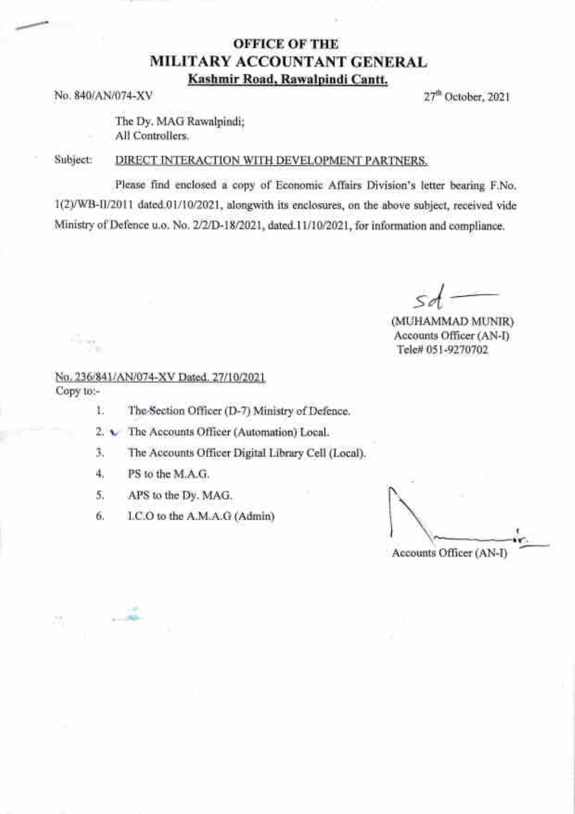### OFFICE OF THE MILITARY ACCOUNTANT GENERAL Kashmir Road, Rawalpindi Cantt.

No. 840/AN/074-XV 27th October, 2021

The Dy. MAG Rawalpindi; All Controllers.

#### Subject: DIRECT INTERACTION WITH DEVELOPMENT PARTNERS.

Please find enclosed a copy of Economic Affairs Division's letter bearing F.No. 1(2ywB-lil20l1 dated.O1/1012021, alongwith its enclosures, on the above subject, received vide Ministry of Defence u.o. No. 2/2/D-18/2021, dated.11/10/2021, for information and compliance.

sd

(MUHAMMAD MUNIR) Accounts Officer (AN-D Tele# 051-9270702

#### No. 2361841/AN/074-XV Dated. 27110/2021 Copy to:-

1. The Section Officer (D-7) Ministry of Defence.

2.  $\sqrt{ }$  The Accounts Officer (Automation) Local.

3. The Accounts Officer Digital Library Cell (Local).

4. PS to the M.A.G.

**Section** 

N,

5. APS to the Dy. MAG.

6. LC.O to the A.M.A.G (Admin)

Accounts Officer (AN-I) f {-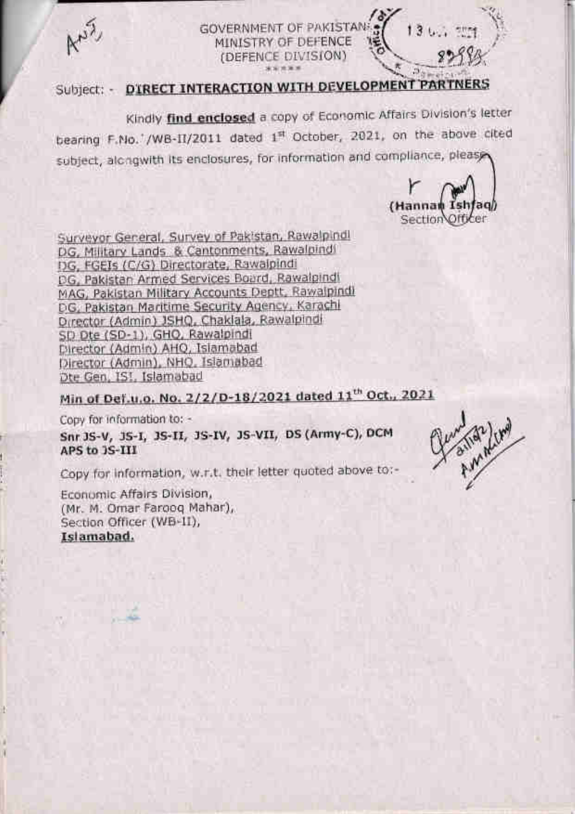

# Subject: - DIRECT INTERACTION WITH DEVELOPMENT PARTNERS

Kindly find enclosed a copy of Economic Affairs Division's letter bearing F.No. /WB-II/2011 dated 1st October, 2021, on the above cited subject, alongwith its enclosures, for information and compliance, please

**GOVERNMENT OF PAKISTAN:** MINISTRY OF DEFENCE (DEFENCE DIVISION)

(Hannan Ish Section Officer

Surveyor General, Survey of Pakistan, Rawalpindi DG, Military Lands, & Cantonments, Rawalpindi DG, FGEIs (C/G) Directorate, Rawalpindi DG, Pakistan Armed Services Board, Rawalpindi MAG, Pakistan Military Accounts Deptt, Rawalpindi DG, Pakistan Maritime Security Agency, Karachi Director (Admin) JSHQ, Chaklala, Rawalping SD Dte (SD-1), GHQ, Rawalpindi Director (Admin) AHQ, Islamabad Director (Admin), NHQ, Islamabad Dte Gen. IS!. Islamabad

# Min of Def.u.o. No. 2/2/D-18/2021 dated 11<sup>th</sup> Oct., 2021

Copy for information to: -

Snr JS-V, JS-I, JS-II, JS-IV, JS-VII, DS (Army-C), DCM APS to 3S-III

Copy for information, w.r.t. their letter quoted above to:-

Economic Affairs Division, (Mr. M. Omar Farooq Mahar), Section Officer (WB-11), Islamabad.

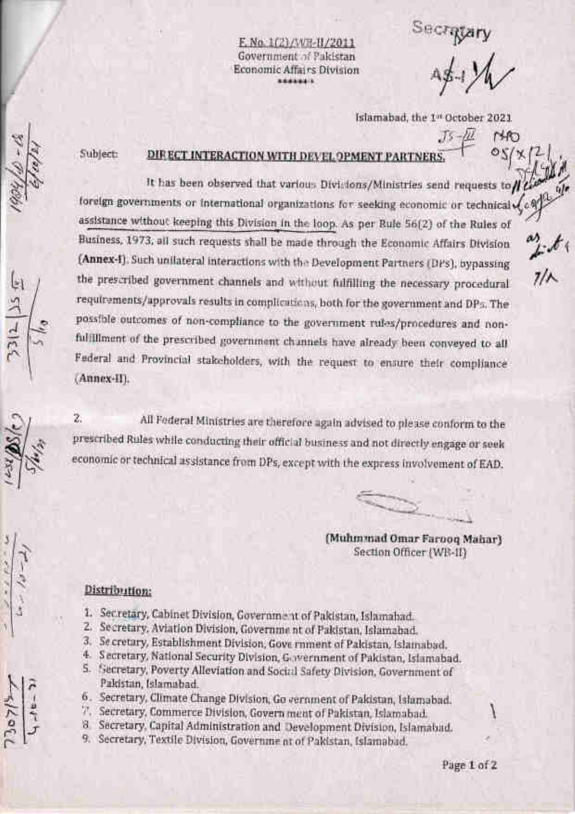E. No. 1(2)/WB-11/2011 Government of Pakistan Economic Affairs Division \*\*\*\*\*\*\*

 $7/\lambda$ 

Islamabad, the 1<sup>n</sup> October 2021.

Subject:

### DIRECT INTERACTION WITH DEVEL OPMENT PARTNERS

It has been observed that various Divisions/Ministries send requests to/ foreign governments or international organizations for seeking economic or technical assistance without keeping this Division in the loop. As per Rule 56(2) of the Rules of Business, 1973, all such requests shall be made through the Economic Affairs Division (Annex-I). Such unilateral interactions with the Development Partners (DPS), bypassing the prescribed government channels and without fulfilling the necessary procedural requirements/approvals results in complications, both for the government and DPs. The possible outcomes of non-compliance to the government rules/procedures and nonfulfillment of the prescribed government channels have already been conveyed to all Federal and Provincial stakeholders, with the request to ensure their compliance (Annex-II).

Ż. All Federal Ministries are therefore again advised to please conform to the prescribed Rules while conducting their official business and not directly engage or seek economic or technical assistance from DPs, except with the express involvement of EAD.

(Muhmmad Omar Farooq Mahar) Section Officer (WB-II)

#### Distribution:

- 1. Secretary, Cabinet Division, Government of Pakistan, Islamabad.
- 2. Secretary, Aviation Division, Government of Pakistan, Islamabad.
- 3. Se cretary, Establishment Division, Gove rument of Pakistan, Islamabad.
- 4. Secretary, National Security Division, Government of Pakistan, Islamabad.
- 5. Secretary, Poverty Alleviation and Social Safety Division, Government of Pakistan, Islamabad.
- 6. Secretary, Climate Change Division, Go vernment of Pakistan, Islamabad.
- 7. Secretary, Commerce Division, Govern ment of Pakistan, Islamabad.
- 8 Secretary, Capital Administration and Development Division, Islamabad.
- 9. Secretary, Textile Division, Governme at of Pakistan, Islamabad.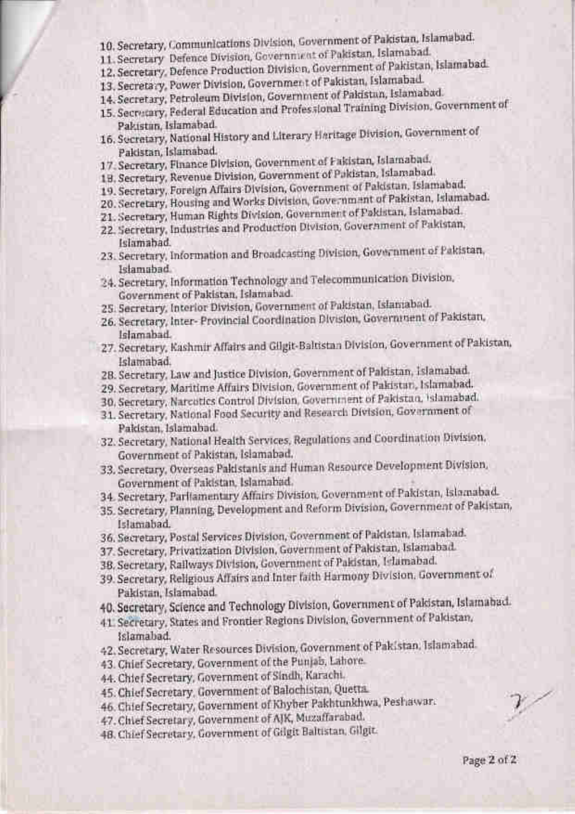- 10. Secretary, Communications Division, Government of Pakistan, Islamabad.
- 11. Secretary Defence Division, Government of Pakistan, Islamabad.
- 12. Secretary, Defence Production Division, Government of Pakistan, Islamabad.
- 13, Secretary, Power Division, Government of Pakistan, Islamabad.
- 14. Secretary, Petroleum Division, Government of Pakistan, Islamabad.
- 15. Secretary, Federal Education and Profes.;ional Training Division, Government of Pakistan, Islamabad.
- Pakistan, Islamabad. 16. Srcretary, National History and Literary Fleritage Division, Government of Pakistan, Islamabad
- 17. Secretary, Finance Division, Government of Fakistan, Islamabad,
- 1H. Secretary, Revenue Division, Government of Pakistan, Islamabad.
- 19. Secretary, Foreign Affairs Division, Government of Pakistan, Islamabad,
- 20. Secretary, Housing and Works Division, Government of Pakistan, Islamabad.
- 21. Secretary, Human Rights Division, Government of Pakistan, Islamabad.
- 22. Secretary, Industries and Production Division, Government of Pakistan, Islamabad.
- 23. Secretary, Information and Broadcasting Division, Government of Pakistan, Islamabad.
- 24. Secretary, Information Technology and Telecommunication Division, Government of Pakistan, Islamabad.
- 25. Secretary, Interior Division, covernment of Pakistan, Islantabad.
- 26. Secretary, Inter- Provincial Coorrlination Division, Governtnent of Pakistan' Islamabad.
- 27. Secretary, Kashmir Affairs and Gilgit-Baltistan Division, Government of Pakistan, Islamabad.
- 28. Secretary, Law and Justice Division, Government of Pakistan, Islamabad.
- 29. Secretary, Maritime Affairs Division, Government of Pakistan, Islamabad.
- 30. Secretary, Narcotics Control Division, Government of Pakistan, Islamabad.
- 31. Secretary, National Food Security and Research Division, Government of Pakistan, Islamabad.
- 32. Secretary, National Health Services, Regulations and Coordination Division' Covernment of Pakistan, Islamabad.
- 33. Secretary, Overseas Pakistanis and Human Resource Developrnent Division' Government of Pakistan, lslamabad.
- 34. Secretary, Parliamentary Affairs Division, Government of Pakistan, Islamabad.
- 35. Secretary, Planning, Development and Reform Division, Government of Pakistan, Islamabad.
- 36. Secretary, Postal seruices Division, Government of Pakistan, Islamab'ad'
- 37. Secretary, Privatization Division, Government of Pakistan, Islamabad'
- 38. Secretary, Railways Division, Government of Pakistan, Islamabad.
- 39. Secretary, Religious Affairs and Inter faith Harmony Division, Government of Pakistan, Islamabad.
- 40. Secretary, Science and Technology Division, Government of Pakistan, Islamabad.
- 41. Secretary, States and Frontier Regions Division, Government of Pakistan, Islamabad.
- 42. Secretary, Water Resources Division, Government of Pakistan, Islamabad.
- 43. Chief Secretary, Government of the Punjab, Lahore.
- 44. Chief Secretary, Government of Sindh, Karachi.
- 45. Chief Secretary, Government of Balochistan, Quetta'
- 46. Chief Secretary, Government of Khyber Pakhtunkhwa, Peshawar,
- 47. Chief Secretary, Government of AJK, Muzaffarabad.
- 48. Chief Secretary, Government of Gilgit Baltistan, Gilgit.

Page 2 of 2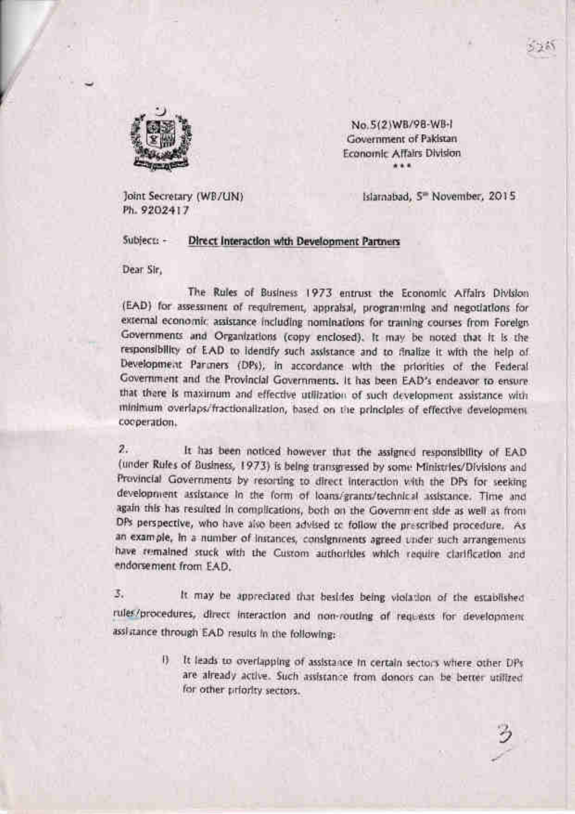

No. 5(2) WB/98-WB-I Government of Pakistan Economic Affairs Division  $1.1.1$ 

Joint Secretary (WB/UN) Ph. 9202417

Islamabad, S<sup>=</sup> November, 2015.

#### Subject: -Direct Interaction with Development Partners

Dear Sir,

The Rules of Business 1973 entrust the Economic Affairs Division (EAD) for assessment of requirement, appraisal, programming and negotiations for external economic assistance including nominations for training courses from Foreign Governments and Organizations (copy enclosed). It may be noted that it is the responsibility of EAD to identify such assistance and to finalize it with the help of Development Parmers (DPs), in accordance with the priorities of the Federal Government and the Provincial Governments. It has been EAD's endeavor to ensure. that there is maximum and effective utilization of such development assistance with minimum overlaps/fractionalization, based on the principles of effective development cooperation.

 $2.$ It has been noticed however that the assigned responsibility of EAD (under Rules of Business, 1973) is being transgressed by some Ministries/Divisions and Provincial Governments by resorting to direct interaction with the DPs for seeking development assistance in the form of loans/grants/technical assistance. Time and again this has resulted in complications, both on the Government side as well as from DPs perspective, who have also been advised to follow the prescribed procedure. As an example, in a number of instances, consignments agreed under such arrangements have remained stuck with the Custom authorities which require clarification and endorsement from EAD.

3. It may be appreciated that besides being violation of the established rules/procedures, direct interaction and non-routing of requests for development assistance through EAD results in the following:

> ₿. It leads to overlapping of assistance in certain sectors where other DPs are already active. Such assistance from donors can be better utilized for other priority sectors.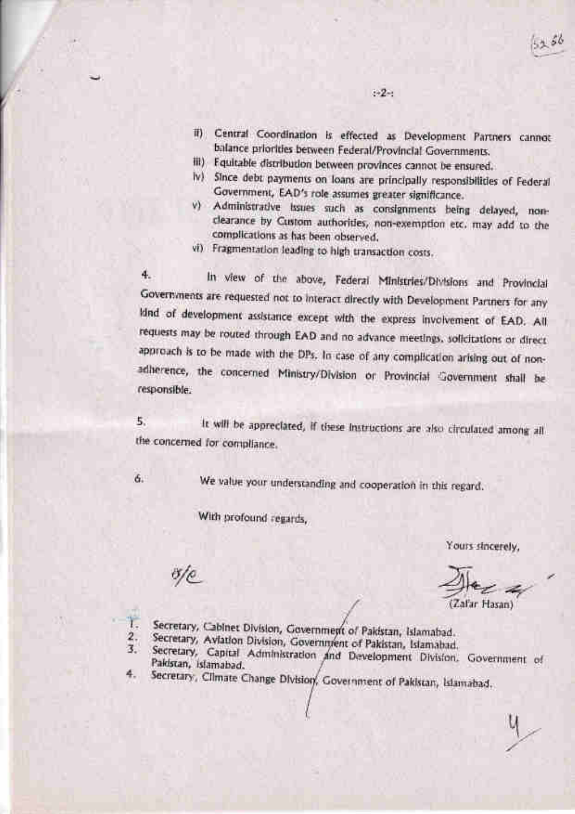II) Central Coordination is effected as Development Partners cannot balance priorities between Federal/Provincial Governments.

 $-2-1$ 

- iii) Fquitable distribution between provinces cannot be ensured.
- lv) Since debt payments on loans are principally responsibilities of Federal Government, EAD's role assumes greater significance.
- v) Administrative issues such as consignments being delayed, nonclearance by Custom authorities, non-exemption etc. may add to the complications as has been observed.
- vi) Fragmentation leading to high transaction costs.

4. In view of the above, Federal Ministries/Divisions and Provincial Governments are requested not to interact directly with Development Partners for any Idnd of development assistance except with the express involvement of EAD. All requests may be routed through EAD and no advance meetings, solicitations or direct approach is to be made with the DPs. In case of any complication arising out of nonadherence, the concerned Ministry/Division or Provincial Government shall be responsible.

 $5.$ It will be appreclated, if these instructions are also circulated among all the concerned for compliance.

6.

We value your understanding and cooperation in this regard.

With profound regards,

Yours stricerely,

670

(Zafar Hasan)

- Secretary, Cabinet Division, Government of Pakistan, Islamabad.
- Secretary, Aviation Division, Government of Pakistan, Islamabad. 2. 3.
- Secretary, Capital Administration and Development Division. Government of Pakistan, islamabad. 4.
- Secretary, Climate Change Division, Government of Pakistan, Islamabad.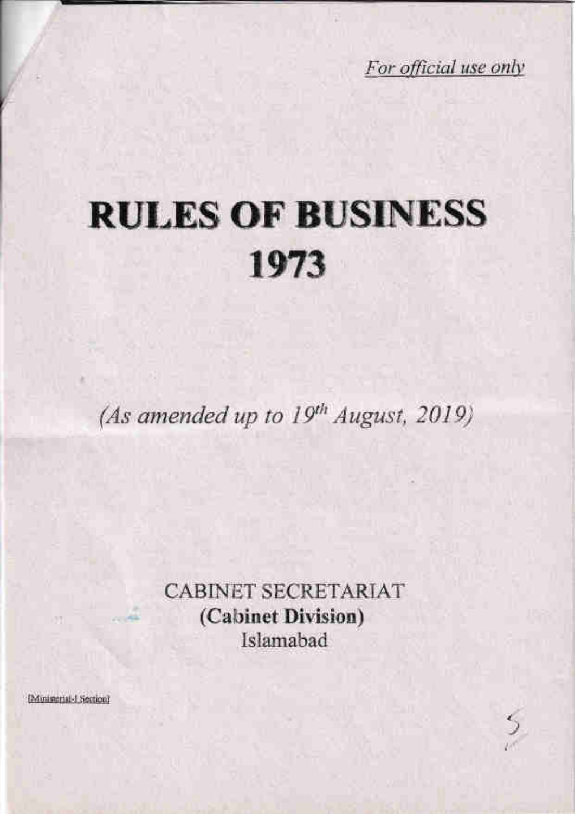For official use only

# **RULES OF BUSINESS** 1973

(As amended up to 19th August, 2019)

**CABINET SECRETARIAT** (Cabinet Division) Islamabad

[Ministerial-1 Section]